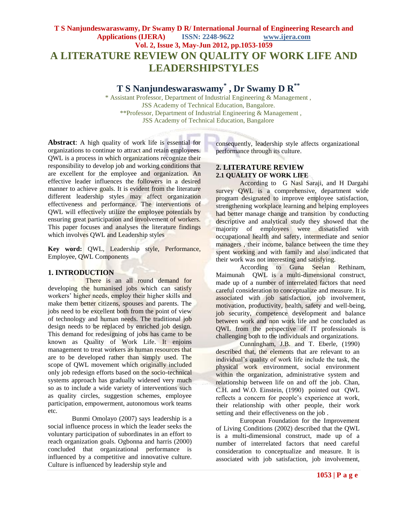# **T S Nanjundeswaraswamy, Dr Swamy D R/ International Journal of Engineering Research and Applications (IJERA) ISSN: 2248-9622 www.ijera.com Vol. 2, Issue 3, May-Jun 2012, pp.1053-1059 A LITERATURE REVIEW ON QUALITY OF WORK LIFE AND LEADERSHIPSTYLES**

# **T S Nanjundeswaraswamy\* , Dr Swamy D R\*\***

\* Assistant Professor, Department of Industrial Engineering & Management , JSS Academy of Technical Education, Bangalore. \*\*Professor, Department of Industrial Engineering & Management , JSS Academy of Technical Education, Bangalore

**Abstract**: A high quality of work life is essential for organizations to continue to attract and retain employees. QWL is a process in which organizations recognize their responsibility to develop job and working conditions that are excellent for the employee and organization. An effective leader influences the followers in a desired manner to achieve goals. It is evident from the literature different leadership styles may affect organization effectiveness and performance. The interventions of QWL will effectively utilize the employee potentials by ensuring great participation and involvement of workers. This paper focuses and analyses the literature findings which involves QWL and Leadership styles

**Key word:** QWL, Leadership style, Performance, Employee, QWL Components

#### **1. INTRODUCTION**

There is an all round demand for developing the humanised jobs which can satisfy workers' higher needs, employ their higher skills and make them better citizens, spouses and parents. The jobs need to be excellent both from the point of view of technology and human needs. The traditional job design needs to be replaced by enriched job design. This demand for redesigning of jobs has came to be known as Quality of Work Life. It enjoins management to treat workers as human resources that are to be developed rather than simply used. The scope of QWL movement which originally included only job redesign efforts based on the socio-technical systems approach has gradually widened very much so as to include a wide variety of interventions such as quality circles, suggestion schemes, employee participation, empowerment, autonomous work teams etc.

Bunmi Omolayo (2007) says leadership is a social influence process in which the leader seeks the voluntary participation of subordinates in an effort to reach organization goals. Ogbonna and harris (2000) concluded that organizational performance is influenced by a competitive and innovative culture. Culture is influenced by leadership style and

consequently, leadership style affects organizational performance through its culture.

#### **2. LITERATURE REVIEW 2.1 QUALITY OF WORK LIFE**

According to G Nasl Saraji, and H Dargahi survey QWL is a comprehensive, department wide program designated to improve employee satisfaction, strengthening workplace learning and helping employees had better manage change and transition by conducting descriptive and analytical study they showed that the majority of employees were dissatisfied with occupational health and safety, intermediate and senior managers , their income, balance between the time they spent working and with family and also indicated that their work was not interesting and satisfying.

According to Guna Seelan Rethinam, Maimunah QWL is a multi-dimensional construct, made up of a number of interrelated factors that need careful consideration to conceptualize and measure. It is associated with job satisfaction, job involvement, motivation, productivity, health, safety and well-being, job security, competence development and balance between work and non work life and he concluded as QWL from the perspective of IT professionals is challenging both to the individuals and organizations.

Cunningham, J.B. and T. Eberle, (1990) described that, the elements that are relevant to an individual's quality of work life include the task, the physical work environment, social environment within the organization, administrative system and relationship between life on and off the job. Chan, C.H. and W.O. Einstein, (1990) pointed out QWL reflects a concern for people's experience at work, their relationship with other people, their work setting and their effectiveness on the job .

European Foundation for the Improvement of Living Conditions (2002) described that the QWL is a multi-dimensional construct, made up of a number of interrelated factors that need careful consideration to conceptualize and measure. It is associated with job satisfaction, job involvement,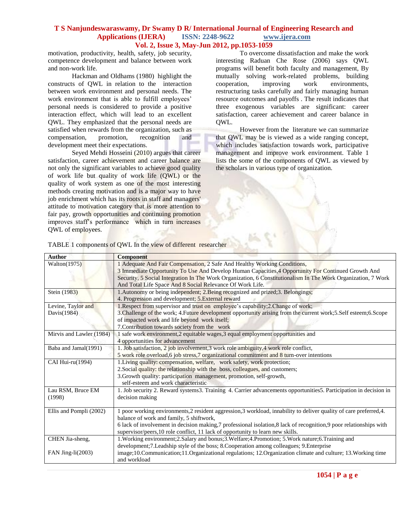motivation, productivity, health, safety, job security, competence development and balance between work and non-work life.

Hackman and Oldhams (1980) highlight the constructs of QWL in relation to the interaction between work environment and personal needs. The work environment that is able to fulfill employees' personal needs is considered to provide a positive interaction effect, which will lead to an excellent QWL. They emphasized that the personal needs are satisfied when rewards from the organization, such as compensation, promotion, recognition and development meet their expectations.

Seyed Mehdi Hosseini (2010) argues that career satisfaction, career achievement and career balance are not only the significant variables to achieve good quality of work life but quality of work life (QWL) or the quality of work system as one of the most interesting methods creating motivation and is a major way to have job enrichment which has its roots in staff and managers' attitude to motivation category that is more attention to fair pay, growth opportunities and continuing promotion improves staff's performance which in turn increases QWL of employees.

To overcome dissatisfaction and make the work interesting Raduan Che Rose (2006) says QWL programs will benefit both faculty and management, By mutually solving work-related problems, building cooperation, improving work environments, restructuring tasks carefully and fairly managing human resource outcomes and payoffs . The result indicates that three exogenous variables are significant: career satisfaction, career achievement and career balance in QWL.

However from the literature we can summarize that QWL may be is viewed as a wide ranging concept, which includes satisfaction towards work, participative management and improve work environment. Table 1 lists the some of the components of QWL as viewed by the scholars in various type of organization.

|  | TABLE 1 components of QWL In the view of different researcher |
|--|---------------------------------------------------------------|
|--|---------------------------------------------------------------|

Tre de

| <b>Author</b>            | <b>Component</b>                                                                                                                                                                                                                                                                                                                                              |  |  |
|--------------------------|---------------------------------------------------------------------------------------------------------------------------------------------------------------------------------------------------------------------------------------------------------------------------------------------------------------------------------------------------------------|--|--|
| Walton $(1975)$          | 1 Adequate And Fair Compensation, 2 Safe And Healthy Working Conditions,<br>3 Immediate Opportunity To Use And Develop Human Capacities, 4 Opportunity For Continued Growth And<br>Security, 5 Social Integration In The Work Organization, 6 Constitutionalism In The Work Organization, 7 Work<br>And Total Life Space And 8 Social Relevance Of Work Life. |  |  |
|                          |                                                                                                                                                                                                                                                                                                                                                               |  |  |
|                          |                                                                                                                                                                                                                                                                                                                                                               |  |  |
|                          |                                                                                                                                                                                                                                                                                                                                                               |  |  |
| Stein (1983)             | 1. Autonomy or being independent; 2. Being recognized and prized; 3. Belongings;                                                                                                                                                                                                                                                                              |  |  |
|                          | 4. Progression and development; 5. External reward                                                                                                                                                                                                                                                                                                            |  |  |
| Levine, Taylor and       | 1. Respect from supervisor and trust on employee's capability; 2. Change of work;                                                                                                                                                                                                                                                                             |  |  |
| Davis(1984)              | 3. Challenge of the work; 4. Future development opportunity arising from the current work; 5. Self esteem; 6. Scope                                                                                                                                                                                                                                           |  |  |
|                          | of impacted work and life beyond work itself;                                                                                                                                                                                                                                                                                                                 |  |  |
|                          | 7. Contribution towards society from the work                                                                                                                                                                                                                                                                                                                 |  |  |
| Mirvis and Lawler (1984) | 1 safe work environment, 2 equitable wages, 3 equal employment opportunities and                                                                                                                                                                                                                                                                              |  |  |
|                          | 4 opportunities for advancement                                                                                                                                                                                                                                                                                                                               |  |  |
| Baba and Jamal(1991)     | 1. Job satisfaction, 2 job involvement, 3 work role ambiguity, 4 work role conflict,                                                                                                                                                                                                                                                                          |  |  |
|                          | 5 work role overload, 6 job stress, 7 organizational commitment and 8 turn-over intentions                                                                                                                                                                                                                                                                    |  |  |
| CAI Hui-ru(1994)         | 1. Living quality: compensation, welfare, work safety, work protection;                                                                                                                                                                                                                                                                                       |  |  |
|                          | 2. Social quality: the relationship with the boss, colleagues, and customers;                                                                                                                                                                                                                                                                                 |  |  |
|                          | 3. Growth quality: participation management, promotion, self-growth,                                                                                                                                                                                                                                                                                          |  |  |
|                          | self-esteem and work characteristic                                                                                                                                                                                                                                                                                                                           |  |  |
| Lau RSM, Bruce EM        | 1. Job security 2. Reward systems 3. Training 4. Carrier advancements opportunities 5. Participation in decision in                                                                                                                                                                                                                                           |  |  |
| (1998)                   | decision making                                                                                                                                                                                                                                                                                                                                               |  |  |
|                          |                                                                                                                                                                                                                                                                                                                                                               |  |  |
| Ellis and Pompli (2002)  | 1 poor working environments, 2 resident aggression, 3 workload, innability to deliver quality of care preferred, 4.                                                                                                                                                                                                                                           |  |  |
|                          | balance of work and family, 5 shiftwork,                                                                                                                                                                                                                                                                                                                      |  |  |
|                          | 6 lack of involvement in decision making,7 professional isolation,8 lack of recognition,9 poor relationships with                                                                                                                                                                                                                                             |  |  |
|                          | supervisor/peers, 10 role conflict, 11 lack of opportunity to learn new skills.                                                                                                                                                                                                                                                                               |  |  |
| CHEN Jia-sheng,          | 1. Working environment; 2. Salary and bonus; 3. Welfare; 4. Promotion; 5. Work nature; 6. Training and                                                                                                                                                                                                                                                        |  |  |
|                          | development;7.Leadship style of the boss; 8.Cooperation among colleagues; 9.Enterprise                                                                                                                                                                                                                                                                        |  |  |
| FAN Jing- $li(2003)$     | image;10.Communication;11.Organizational regulations; 12.Organization climate and culture; 13.Working time                                                                                                                                                                                                                                                    |  |  |
|                          | and workload                                                                                                                                                                                                                                                                                                                                                  |  |  |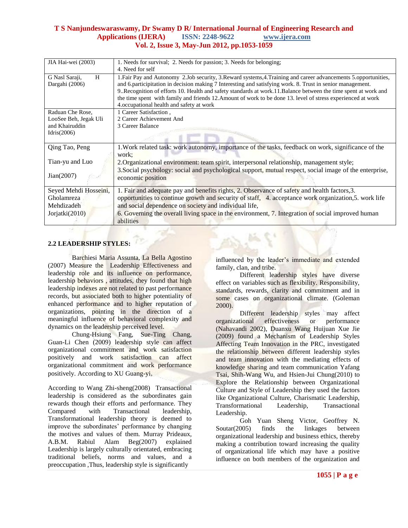| JIA Hai-wei (2003)    | 1. Needs for survival; 2. Needs for passion; 3. Needs for belonging;                                                                                      |  |
|-----------------------|-----------------------------------------------------------------------------------------------------------------------------------------------------------|--|
|                       | 4. Need for self                                                                                                                                          |  |
| G Nasl Saraji,<br>H   | 1. Fair Pay and Autonomy 2. Job security, 3. Reward systems, 4. Training and career advancements 5. opportunities,                                        |  |
| Dargahi (2006)        | and 6.participitation in decision making 7 Interesting and satisfying work. 8. Trust in senior management.                                                |  |
|                       | 9. Recognition of efforts 10. Health and safety standards at work.11. Balance between the time spent at work and                                          |  |
|                       | the time spent with family and friends 12. Amount of work to be done 13. level of stress experienced at work<br>4. occupational health and safety at work |  |
| Raduan Che Rose,      | 1 Career Satisfaction,                                                                                                                                    |  |
| LooSee Beh, Jegak Uli | 2 Career Achievement And                                                                                                                                  |  |
| and Khairuddin        | 3 Career Balance                                                                                                                                          |  |
| Idris $(2006)$        |                                                                                                                                                           |  |
|                       |                                                                                                                                                           |  |
| Qing Tao, Peng        | 1. Work related task: work autonomy, importance of the tasks, feedback on work, significance of the                                                       |  |
|                       | work:                                                                                                                                                     |  |
| Tian-yu and Luo       | 2. Organizational environment: team spirit, interpersonal relationship, management style;                                                                 |  |
|                       | 3. Social psychology: social and psychological support, mutual respect, social image of the enterprise,                                                   |  |
| Jian(2007)            | economic position                                                                                                                                         |  |
| Seyed Mehdi Hosseini, | 1. Fair and adequate pay and benefits rights, 2. Observance of safety and health factors, 3.                                                              |  |
| Gholamreza            | opportunities to continue growth and security of staff, 4. acceptance work organization, 5. work life                                                     |  |
| Mehdizadeh            | and social dependence on society and individual life,                                                                                                     |  |
|                       |                                                                                                                                                           |  |
| Jorjatki(2010)        | 6. Governing the overall living space in the environment, 7. Integration of social improved human<br>abilities                                            |  |
|                       |                                                                                                                                                           |  |

# **2.2 LEADERSHIP STYLES:**

Barchiesi Maria Assunta, La Bella Agostino (2007) Measure the Leadership Effectiveness and leadership role and its influence on performance, leadership behaviors , attitudes, they found that high leadership indexes are not related to past performance records, but associated both to higher potentiality of enhanced performance and to higher reputation of organizations, pointing in the direction of a meaningful influence of behavioral complexity and dynamics on the leadership perceived level.

Chung-Hsiung Fang, Sue-Ting Chang, Guan-Li Chen (2009) leadership style can affect organizational commitment and work satisfaction positively and work satisfaction can affect organizational commitment and work performance positively. According to XU Guang-yi,

According to Wang Zhi-sheng(2008) Transactional leadership is considered as the subordinates gain rewards though their efforts and performance. They Compared with Transactional leadership, Transformational leadership theory is deemed to improve the subordinates' performance by changing the motives and values of them. Murray Prideaux, A.B.M. Rabiul Alam Beg(2007) explained Leadership is largely culturally orientated, embracing traditional beliefs, norms and values, and a preoccupation ,Thus, leadership style is significantly

influenced by the leader's immediate and extended family, clan, and tribe.

Different leadership styles have diverse effect on variables such as flexibility. Responsibility, standards, rewards, clarity and commitment and in some cases on organizational climate. (Goleman 2000).

Different leadership styles may affect organizational effectiveness or performance (Nahavandi 2002), Duanxu Wang Huijuan Xue Jie (2009) found a Mechanism of Leadership Styles Affecting Team Innovation in the PRC, investigated the relationship between different leadership styles and team innovation with the mediating effects of knowledge sharing and team communication Yafang Tsai, Shih-Wang Wu, and Hsien-Jui Chung(2010) to Explore the Relationship between Organizational Culture and Style of Leadership they used the factors like Organizational Culture, Charismatic Leadership, Transformational Leadership, Transactional Leadership.

Goh Yuan Sheng Victor, Geoffrey N. Soutar(2005) finds the linkages between organizational leadership and business ethics, thereby making a contribution toward increasing the quality of organizational life which may have a positive influence on both members of the organization and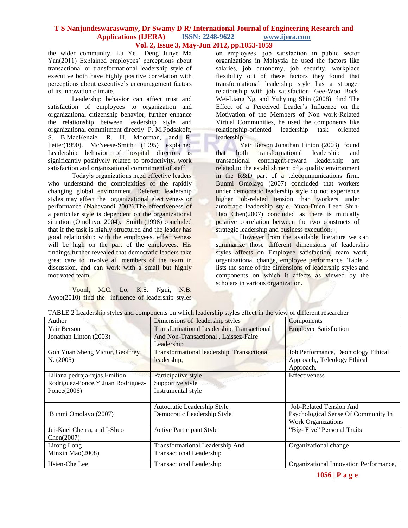the wider community. Lu Ye Deng Junye Ma Yan(2011) Explained employees' perceptions about transactional or transformational leadership style of executive both have highly positive correlation with perceptions about executive's encouragement factors of its innovation climate.

Leadership behavior can affect trust and satisfaction of employees to organization and organizational citizenship behavior, further enhance the relationship between leadership style and organizational commitment directly P. M.Podsakoff, S. B.MacKenzie, R. H. Moorman, and R. Fetter(1990). McNeese-Smith (1995) explained Leadership behavior of hospital directors is significantly positively related to productivity, work satisfaction and organizational commitment of staff.

Today's organizations need effective leaders who understand the complexities of the rapidly changing global environment. Deferent leadership styles may affect the organizational electiveness or performance (Nahavandi 2002).The effectiveness of a particular style is dependent on the organizational situation (Omolayo, 2004). Smith (1998) concluded that if the task is highly structured and the leader has good relationship with the employees, effectiveness will be high on the part of the employees. His findings further revealed that democratic leaders take great care to involve all members of the team in discussion, and can work with a small but highly motivated team.

Voonl, M.C. Lo, K.S. Ngui, N.B. Ayob(2010) find the influence of leadership styles on employees' job satisfaction in public sector organizations in Malaysia he used the factors like salaries, job autonomy, job security, workplace flexibility out of these factors they found that transformational leadership style has a stronger relationship with job satisfaction. Gee-Woo Bock, Wei-Liang Ng, and Yuhyung Shin (2008) find The Effect of a Perceived Leader's Influence on the Motivation of the Members of Non work-Related Virtual Communities, he used the components like relationship-oriented leadership task oriented leadership.

Yair Berson Jonathan Linton (2003) found that both transformational leadership and transactional contingent-reward .leadership are related to the establishment of a quality environment in the R&D part of a telecommunications firm. Bunmi Omolayo (2007) concluded that workers under democratic leadership style do not experience higher job-related tension than workers under autocratic leadership style. Yuan-Duen Lee\* Shih-Hao Chen(2007) concluded as there is mutually positive correlation between the two constructs of strategic leadership and business execution.

However from the available literature we can summarize those different dimensions of leadership styles affects on Employee satisfaction, team work, organizational change, employee performance .Table 2 lists the some of the dimensions of leadership styles and components on which it affects as viewed by the scholars in various organization.

v

| Author                                                                                 | Dimensions of leadership styles                                                                  | Components                                                                                  |
|----------------------------------------------------------------------------------------|--------------------------------------------------------------------------------------------------|---------------------------------------------------------------------------------------------|
| Yair Berson<br>Jonathan Linton (2003)                                                  | Transformational Leadership, Transactional<br>And Non-Transactional, Laissez-Faire<br>Leadership | <b>Employee Satisfaction</b>                                                                |
| Goh Yuan Sheng Victor, Geoffrey<br>N. (2005)                                           | Transformational leadership, Transactional<br>leadership,                                        | Job Performance, Deontology Ethical<br>Approach,, Teleology Ethical<br>Approach.            |
| Liliana pedraja-rejas, Emilion<br>Rodriguez-Ponce, Y Juan Rodriguez-<br>Ponce $(2006)$ | Participative style<br>Supportive style<br>Instrumental style                                    | <b>Effectiveness</b>                                                                        |
| Bunmi Omolayo (2007)                                                                   | Autocratic Leadership Style<br>Democratic Leadership Style                                       | <b>Job-Related Tension And</b><br>Psychological Sense Of Community In<br>Work Organizations |
| Jui-Kuei Chen a, and I-Shuo<br>Chen(2007)                                              | <b>Active Participant Style</b>                                                                  | "Big-Five" Personal Traits                                                                  |
| Lirong Long<br>Minxin Mao(2008)                                                        | Transformational Leadership And<br><b>Transactional Leadership</b>                               | Organizational change                                                                       |
| Hsien-Che Lee                                                                          | <b>Transactional Leadership</b>                                                                  | Organizational Innovation Performance,                                                      |

TABLE 2 Leadership styles and components on which leadership styles effect in the view of different researcher

**1056 | P a g e**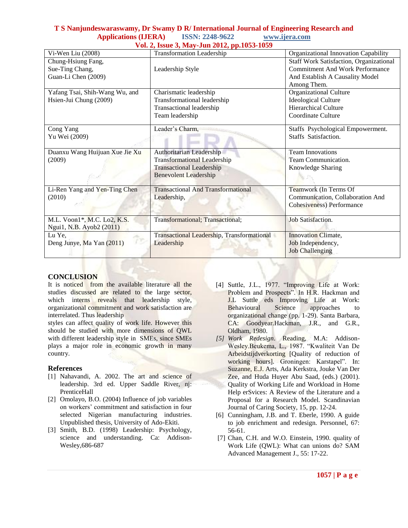| Vi-Wen Liu (2008)              | $\frac{1}{2}$ and $\frac{1}{2}$ and $\frac{1}{2}$ and $\frac{1}{2}$ and $\frac{1}{2}$ and $\frac{1}{2}$ and $\frac{1}{2}$ and $\frac{1}{2}$<br><b>Transformation Leadership</b> | Organizational Innovation Capability           |
|--------------------------------|---------------------------------------------------------------------------------------------------------------------------------------------------------------------------------|------------------------------------------------|
| Chung-Hsiung Fang,             |                                                                                                                                                                                 | <b>Staff Work Satisfaction, Organizational</b> |
| Sue-Ting Chang,                | Leadership Style                                                                                                                                                                | <b>Commitment And Work Performance</b>         |
| Guan-Li Chen (2009)            |                                                                                                                                                                                 | And Establish A Causality Model                |
|                                |                                                                                                                                                                                 | Among Them.                                    |
| Yafang Tsai, Shih-Wang Wu, and | Charismatic leadership                                                                                                                                                          | Organizational Culture                         |
| Hsien-Jui Chung (2009)         | Transformational leadership                                                                                                                                                     | Ideological Culture                            |
|                                | Transactional leadership                                                                                                                                                        | <b>Hierarchical Culture</b>                    |
|                                | Team leadership                                                                                                                                                                 | Coordinate Culture                             |
| Cong Yang                      | Leader's Charm,                                                                                                                                                                 | Staffs Psychological Empowerment.              |
| Yu Wei (2009)                  |                                                                                                                                                                                 | Staffs Satisfaction.                           |
| Duanxu Wang Huijuan Xue Jie Xu | Authoritarian Leadership                                                                                                                                                        | <b>Team Innovations</b>                        |
| (2009)                         | <b>Transformational Leadership</b>                                                                                                                                              | Team Communication.                            |
|                                | <b>Transactional Leadership</b>                                                                                                                                                 | Knowledge Sharing                              |
|                                | <b>Benevolent Leadership</b>                                                                                                                                                    |                                                |
| Li-Ren Yang and Yen-Ting Chen  | <b>Transactional And Transformational</b>                                                                                                                                       | Teamwork (In Terms Of                          |
| (2010)                         | Leadership,                                                                                                                                                                     | Communication, Collaboration And               |
|                                |                                                                                                                                                                                 | <b>Cohesiveness)</b> Performance               |
| M.L. Voon1*, M.C. Lo2, K.S.    | <b>Transformational; Transactional;</b>                                                                                                                                         | <b>Job Satisfaction.</b>                       |
| Ngui1, N.B. Ayob2 (2011)       |                                                                                                                                                                                 |                                                |
| Lu Ye,                         | Transactional Leadership, Transformational                                                                                                                                      | <b>Innovation Climate,</b>                     |
| Deng Junye, Ma Yan (2011)      | Leadership                                                                                                                                                                      | Job Independency,                              |
|                                |                                                                                                                                                                                 | <b>Job Challenging</b>                         |

# **CONCLUSION**

It is noticed from the available literature all the studies discussed are related to the large sector, which interns reveals that leadership style, organizational commitment and work satisfaction are interrelated. Thus leadership

styles can affect quality of work life. However this should be studied with more dimensions of QWL with different leadership style in SMEs, since SMEs plays a major role in economic growth in many country.

# **References**

- [1] Nahavandi, A. 2002. The art and science of leadership. 3rd ed. Upper Saddle River, nj: PrenticeHall
- [2] Omolayo, B.O. (2004) Influence of job variables on workers' commitment and satisfaction in four selected Nigerian manufacturing industries. Unpublished thesis, University of Ado-Ekiti.
- [3] Smith, B.D. (1998) Leadership: Psychology, science and understanding. Ca: Addison-Wesley,686-687
- [4] Suttle, J.L., 1977. "Improving Life at Work: Problem and Prospects". In H.R. Hackman and J.L Suttle eds Improving Life at Work: Behavioural Science approaches to organizational change (pp. 1-29). Santa Barbara, CA: Goodyear.Hackman, J.R., and G.R., Oldham, 1980.
- *[5] Work Redesign*. Reading, M.A: Addison-Wesley.Beukema, L., 1987. "Kwaliteit Van De Arbeidstijdverkorting [Quality of reduction of working hours]. Groningen: Karstapel". In: Suzanne, E.J. Arts, Ada Kerkstra, Jouke Van Der Zee, and Huda Huyer Abu Saad, (eds.) (2001). Quality of Working Life and Workload in Home Help erSvices: A Review of the Literature and a Proposal for a Research Model. Scandinavian Journal of Caring Society, 15, pp. 12-24.
- [6] Cunningham, J.B. and T. Eberle, 1990. A guide to job enrichment and redesign. Personnel, 67: 56-61.
- [7] Chan, C.H. and W.O. Einstein, 1990. quality of Work Life (QWL): What can unions do? SAM Advanced Management J., 55: 17-22.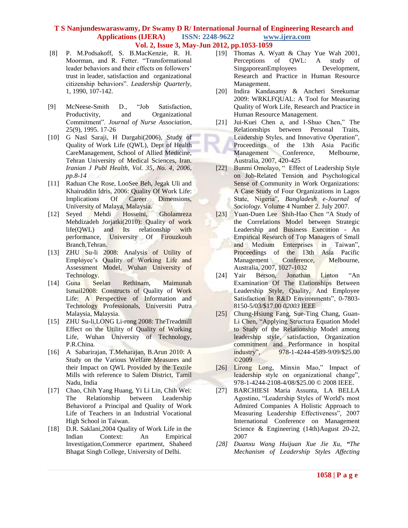- [8] P. M.Podsakoff, S. B.MacKenzie, R. H. Moorman, and R. Fetter. "Transformational leader behaviors and their effects on followers' trust in leader, satisfaction and organizational citizenship behaviors". *Leadership Quarterly,*  1, 1990, 107-142.
- [9] McNeese-Smith D., "Job Satisfaction, Productivity, and Organizational Commitment". *Journal of Nurse Association*, 25(9), 1995. 17-26
- [10] G Nasl Saraji, H Dargahi(2006), Study of Quality of Work Life (QWL), Dept of Health CareManagement, School of Allied Medicine, Tehran University of Medical Sciences, Iran. *Iranian J Publ Health, Vol. 35, No. 4, 2006, pp.8-14*
- [11] Raduan Che Rose, LooSee Beh, Jegak Uli and Khairuddin Idris, 2006: Quality Of Work Life: Implications Of Career Dimensions, University of Malaya, Malaysia.
- [12] Seyed Mehdi Hosseini, Gholamreza Mehdizadeh Jorjatki(2010): Quality of work life(QWL) and Its relationship with performance, University Of Firouzkouh Branch,Tehran.
- [13] ZHU Su-li 2008: Analysis of Utility of Employee's Quality of Working Life and Assessment Model, Wuhan University of Technology.
- [14] Guna Seelan Rethinam, Maimunah Ismail2008: Constructs of Quality of Work Life: A Perspective of Information and Technology Professionals, Universiti Putra Malaysia, Malaysia.
- [15] ZHU Su-li, LONG Li-rong 2008: The Treadmill Effect on the Utility of Quality of Working Life, Wuhan University of Technology, P.R.China.
- [16] A Sabarirajan, T.Meharajan, B.Arun 2010: A Study on the Various Welfare Measures and their Impact on QWL Provided by the Textile Mills with reference to Salem District, Tamil Nadu, India
- [17] Chao, Chih Yang Huang, Yi Li Lin, Chih Wei: The Relationship between Leadership Behaviorof a Principal and Quality of Work Life of Teachers in an Industrial Vocational High School in Taiwan.
- [18] D.R. Saklani,2004 Quality of Work Life in the Indian Context: An Empirical Investigation,Commerce epartment, Shaheed Bhagat Singh College, University of Delhi.
- [19] Thomas A. Wyatt & Chay Yue Wah 2001, Perceptions of QWL: A study of SingaporeanEmployees Development, Research and Practice in Human Resource Management.
- [20] Indira Kandasamy & Ancheri Sreekumar 2009: WRKLFQUAL: A Tool for Measuring Quality of Work Life, Research and Practice in Human Resource Management.
- [21] Jui-Kuei Chen a, and I-Shuo Chen," The Relationships between Personal Traits, Leadership Styles, and Innovative Operation", Proceedings of the 13th Asia Pacific Management Conference, Melbourne, Australia, 2007, 420-425
- [22] Bunmi Omolayo, " Effect of Leadership Style on Job-Related Tension and Psychological Sense of Community in Work Organizations: A Case Study of Four Organizations in Lagos State, Nigeria", *Bangladesh e-Journal of Sociology.* Volume 4 Number 2. July 2007.
- [23] Yuan-Duen LeeShih-Hao Chen "A Study of the Correlations Model between Strategic Leadership and Business Execution - An Empirical Research of Top Managers of Small and Medium Enterprises in Taiwan", Proceedings of the 13th Asia Pacific Management Conference, Melbourne, Australia, 2007, 1027-1032
- [24] Yair Berson, Jonathan Linton "An Examination Of The Elationships Between Leadership Style, Quality, And Employee Satisfaction In R&D Environments", 0-7803- 8150-5/03/\$17.00 *02003* IEEE
- [25] Chung-Hsiung Fang, Sue-Ting Chang, Guan-Li Chen, "Applying Structura Equation Model to Study of the Relationship Model among leadership style, satisfaction, Organization commitment and Performance in hospital industry", 978-1-4244-4589-9/09/\$25.00 ©2009
- [26] Lirong Long, Minxin Mao," Impact of leadership style on organizational change", 978-1-4244-2108-4/08/\$25.00 © 2008 IEEE.
- [27] BARCHIESI Maria Assunta, LA BELLA Agostino, "Leadership Styles of World's most Admired Companies A Holistic Approach to Measuring Leadership Effectiveness", 2007 International Conference on Management Science & Engineering (14th)August 20-22, 2007
- *[28] Duanxu Wang Huijuan Xue Jie Xu, "The Mechanism of Leadership Styles Affecting*